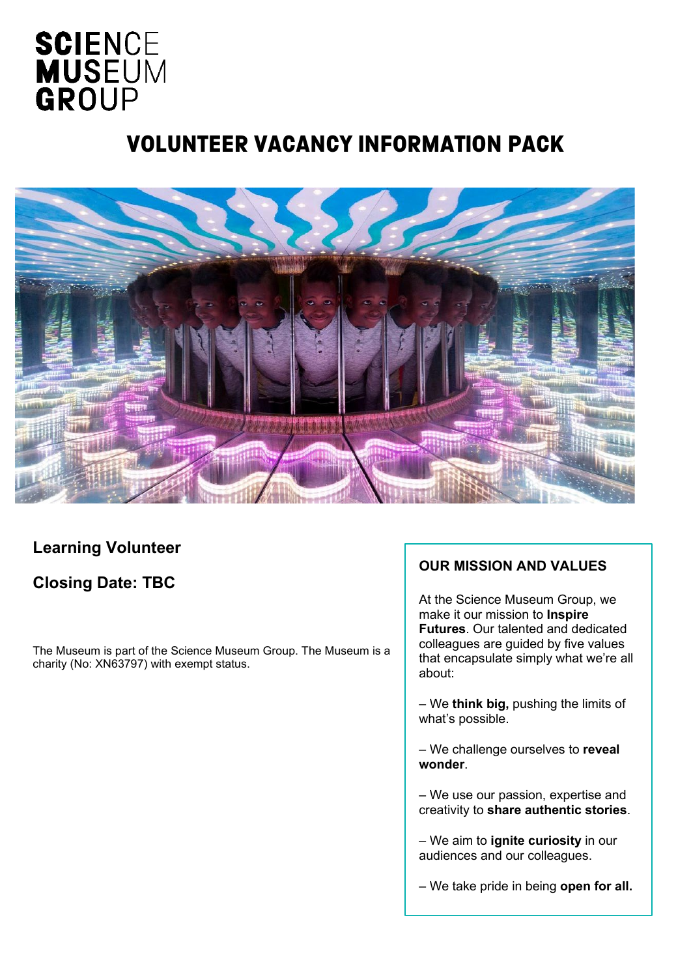# **SCIENCE MUSEUM** GROUP

## VOLUNTEER VACANCY INFORMATION PACK



#### **Learning Volunteer**

## **Closing Date: TBC**

The Museum is part of the Science Museum Group. The Museum is a charity (No: XN63797) with exempt status.

#### **OUR MISSION AND VALUES**

At the Science Museum Group, we make it our mission to **Inspire Futures**. Our talented and dedicated colleagues are guided by five values that encapsulate simply what we're all about:

– We **think big,** pushing the limits of what's possible.

– We challenge ourselves to **reveal wonder**.

– We use our passion, expertise and creativity to **share authentic stories**.

– We aim to **ignite curiosity** in our audiences and our colleagues.

– We take pride in being **open for all.**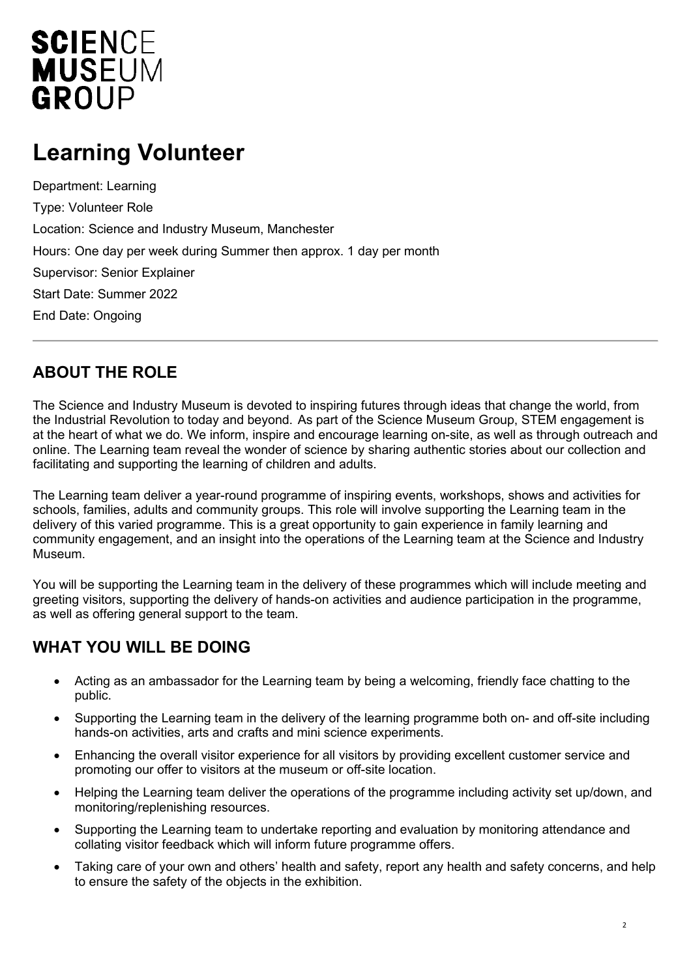# **SCIENCE MUSEUM** GROUP

## **Learning Volunteer**

Department: Learning Type: Volunteer Role Location: Science and Industry Museum, Manchester Hours: One day per week during Summer then approx. 1 day per month Supervisor: Senior Explainer Start Date: Summer 2022 End Date: Ongoing

#### **ABOUT THE ROLE**

The Science and Industry Museum is devoted to inspiring futures through ideas that change the world, from the Industrial Revolution to today and beyond. As part of the Science Museum Group, STEM engagement is at the heart of what we do. We inform, inspire and encourage learning on-site, as well as through outreach and online. The Learning team reveal the wonder of science by sharing authentic stories about our collection and facilitating and supporting the learning of children and adults.

The Learning team deliver a year-round programme of inspiring events, workshops, shows and activities for schools, families, adults and community groups. This role will involve supporting the Learning team in the delivery of this varied programme. This is a great opportunity to gain experience in family learning and community engagement, and an insight into the operations of the Learning team at the Science and Industry Museum.

You will be supporting the Learning team in the delivery of these programmes which will include meeting and greeting visitors, supporting the delivery of hands-on activities and audience participation in the programme, as well as offering general support to the team.

## **WHAT YOU WILL BE DOING**

- Acting as an ambassador for the Learning team by being a welcoming, friendly face chatting to the public.
- Supporting the Learning team in the delivery of the learning programme both on- and off-site including hands-on activities, arts and crafts and mini science experiments.
- Enhancing the overall visitor experience for all visitors by providing excellent customer service and promoting our offer to visitors at the museum or off-site location.
- Helping the Learning team deliver the operations of the programme including activity set up/down, and monitoring/replenishing resources.
- Supporting the Learning team to undertake reporting and evaluation by monitoring attendance and collating visitor feedback which will inform future programme offers.
- Taking care of your own and others' health and safety, report any health and safety concerns, and help to ensure the safety of the objects in the exhibition.